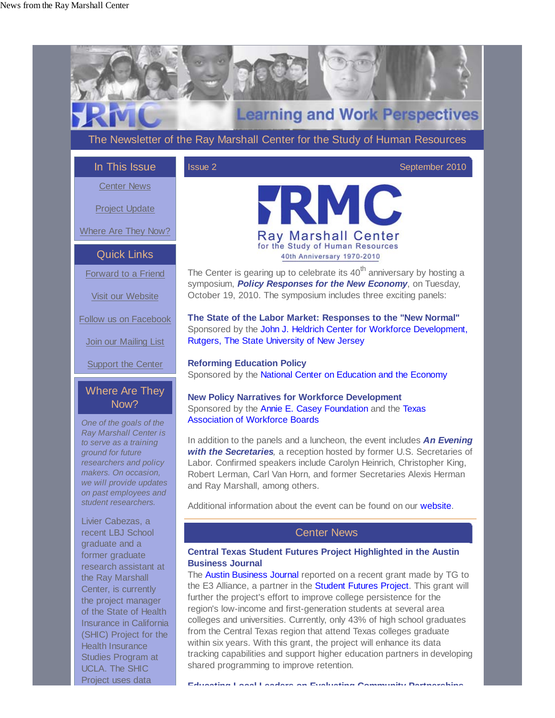